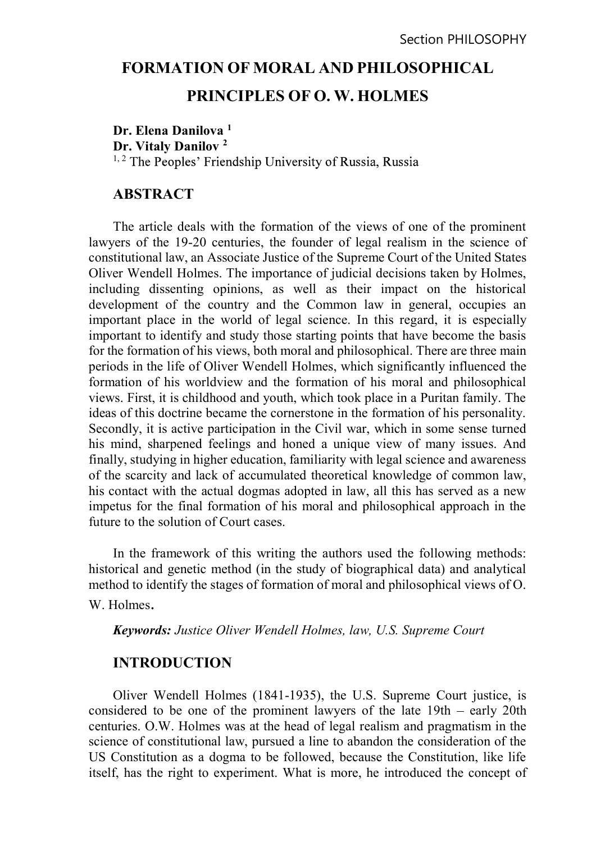# FORMATION OF MORAL AND PHILOSOPHICAL PRINCIPLES OF O. W. HOLMES

Dr. Elena Danilova<sup>1</sup> Dr. Vitaly Danilov 2 <sup>1, 2</sup> The Peoples' Friendship University of Russia, Russia

## **ABSTRACT**

The article deals with the formation of the views of one of the prominent lawyers of the 19-20 centuries, the founder of legal realism in the science of constitutional law, an Associate Justice of the Supreme Court of the United States Oliver Wendell Holmes. The importance of judicial decisions taken by Holmes, including dissenting opinions, as well as their impact on the historical development of the country and the Common law in general, occupies an important place in the world of legal science. In this regard, it is especially important to identify and study those starting points that have become the basis for the formation of his views, both moral and philosophical. There are three main periods in the life of Oliver Wendell Holmes, which significantly influenced the formation of his worldview and the formation of his moral and philosophical views. First, it is childhood and youth, which took place in a Puritan family. The ideas of this doctrine became the cornerstone in the formation of his personality. Secondly, it is active participation in the Civil war, which in some sense turned his mind, sharpened feelings and honed a unique view of many issues. And finally, studying in higher education, familiarity with legal science and awareness of the scarcity and lack of accumulated theoretical knowledge of common law, his contact with the actual dogmas adopted in law, all this has served as a new impetus for the final formation of his moral and philosophical approach in the future to the solution of Court cases.

In the framework of this writing the authors used the following methods: historical and genetic method (in the study of biographical data) and analytical method to identify the stages of formation of moral and philosophical views of O. W. Holmes.

Keywords: Justice Oliver Wendell Holmes, law, U.S. Supreme Court

# **INTRODUCTION**

Oliver Wendell Holmes (1841-1935), the U.S. Supreme Court justice, is considered to be one of the prominent lawyers of the late  $19th - \text{early } 20th$ centuries. O.W. Holmes was at the head of legal realism and pragmatism in the science of constitutional law, pursued a line to abandon the consideration of the US Constitution as a dogma to be followed, because the Constitution, like life itself, has the right to experiment. What is more, he introduced the concept of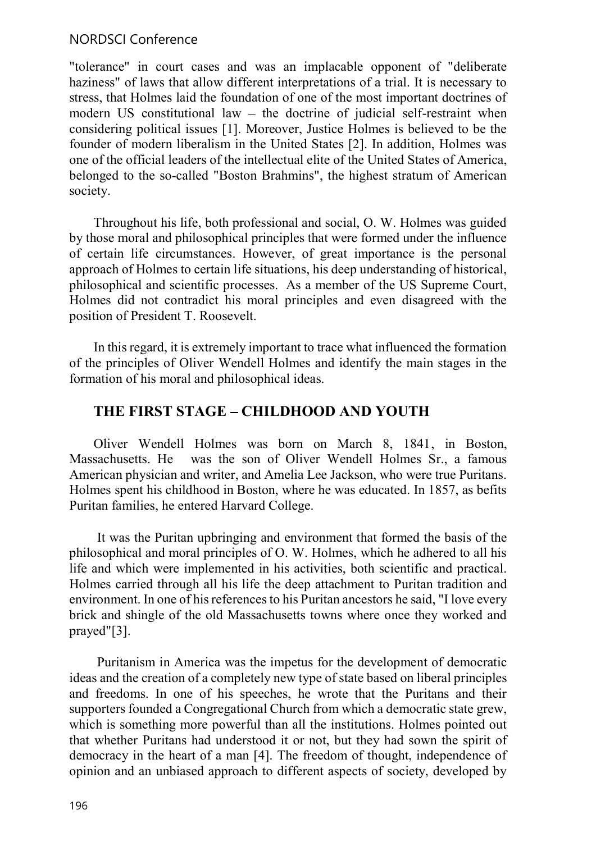## NORDSCI Conference

"tolerance" in court cases and was an implacable opponent of "deliberate haziness" of laws that allow different interpretations of a trial. It is necessary to stress, that Holmes laid the foundation of one of the most important doctrines of modern US constitutional law  $-$  the doctrine of judicial self-restraint when considering political issues [1]. Moreover, Justice Holmes is believed to be the founder of modern liberalism in the United States [2]. In addition, Holmes was one of the official leaders of the intellectual elite of the United States of America, belonged to the so-called "Boston Brahmins", the highest stratum of American society.

Throughout his life, both professional and social, O. W. Holmes was guided by those moral and philosophical principles that were formed under the influence of certain life circumstances. However, of great importance is the personal approach of Holmes to certain life situations, his deep understanding of historical, philosophical and scientific processes. As a member of the US Supreme Court, Holmes did not contradict his moral principles and even disagreed with the position of President T. Roosevelt.

In this regard, it is extremely important to trace what influenced the formation of the principles of Oliver Wendell Holmes and identify the main stages in the formation of his moral and philosophical ideas.

# THE FIRST STAGE - CHILDHOOD AND YOUTH

Oliver Wendell Holmes was born on March 8, 1841, in Boston, Massachusetts. He was the son of Oliver Wendell Holmes Sr., a famous American physician and writer, and Amelia Lee Jackson, who were true Puritans. Holmes spent his childhood in Boston, where he was educated. In 1857, as befits Puritan families, he entered Harvard College.

 It was the Puritan upbringing and environment that formed the basis of the philosophical and moral principles of O. W. Holmes, which he adhered to all his life and which were implemented in his activities, both scientific and practical. Holmes carried through all his life the deep attachment to Puritan tradition and environment. In one of his references to his Puritan ancestors he said, "I love every brick and shingle of the old Massachusetts towns where once they worked and prayed"[3].

 Puritanism in America was the impetus for the development of democratic ideas and the creation of a completely new type of state based on liberal principles and freedoms. In one of his speeches, he wrote that the Puritans and their supporters founded a Congregational Church from which a democratic state grew, which is something more powerful than all the institutions. Holmes pointed out that whether Puritans had understood it or not, but they had sown the spirit of democracy in the heart of a man [4]. The freedom of thought, independence of opinion and an unbiased approach to different aspects of society, developed by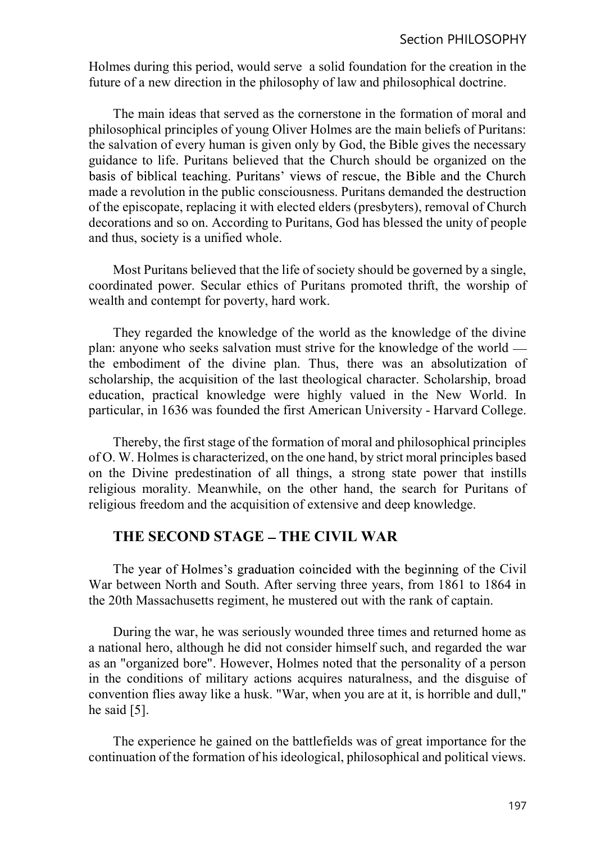Holmes during this period, would serve a solid foundation for the creation in the future of a new direction in the philosophy of law and philosophical doctrine.

The main ideas that served as the cornerstone in the formation of moral and philosophical principles of young Oliver Holmes are the main beliefs of Puritans: the salvation of every human is given only by God, the Bible gives the necessary guidance to life. Puritans believed that the Church should be organized on the basis of biblical teaching. Puritans' views of rescue, the Bible and the Church made a revolution in the public consciousness. Puritans demanded the destruction of the episcopate, replacing it with elected elders (presbyters), removal of Church decorations and so on. According to Puritans, God has blessed the unity of people and thus, society is a unified whole.

Most Puritans believed that the life of society should be governed by a single, coordinated power. Secular ethics of Puritans promoted thrift, the worship of wealth and contempt for poverty, hard work.

They regarded the knowledge of the world as the knowledge of the divine plan: anyone who seeks salvation must strive for the knowledge of the world the embodiment of the divine plan. Thus, there was an absolutization of scholarship, the acquisition of the last theological character. Scholarship, broad education, practical knowledge were highly valued in the New World. In particular, in 1636 was founded the first American University - Harvard College.

Thereby, the first stage of the formation of moral and philosophical principles of O. W. Holmes is characterized, on the one hand, by strict moral principles based on the Divine predestination of all things, a strong state power that instills religious morality. Meanwhile, on the other hand, the search for Puritans of religious freedom and the acquisition of extensive and deep knowledge.

# THE SECOND STAGE - THE CIVIL WAR

The year of Holmes's graduation coincided with the beginning of the Civil War between North and South. After serving three years, from 1861 to 1864 in the 20th Massachusetts regiment, he mustered out with the rank of captain.

During the war, he was seriously wounded three times and returned home as a national hero, although he did not consider himself such, and regarded the war as an "organized bore". However, Holmes noted that the personality of a person in the conditions of military actions acquires naturalness, and the disguise of convention flies away like a husk. "War, when you are at it, is horrible and dull," he said [5].

The experience he gained on the battlefields was of great importance for the continuation of the formation of his ideological, philosophical and political views.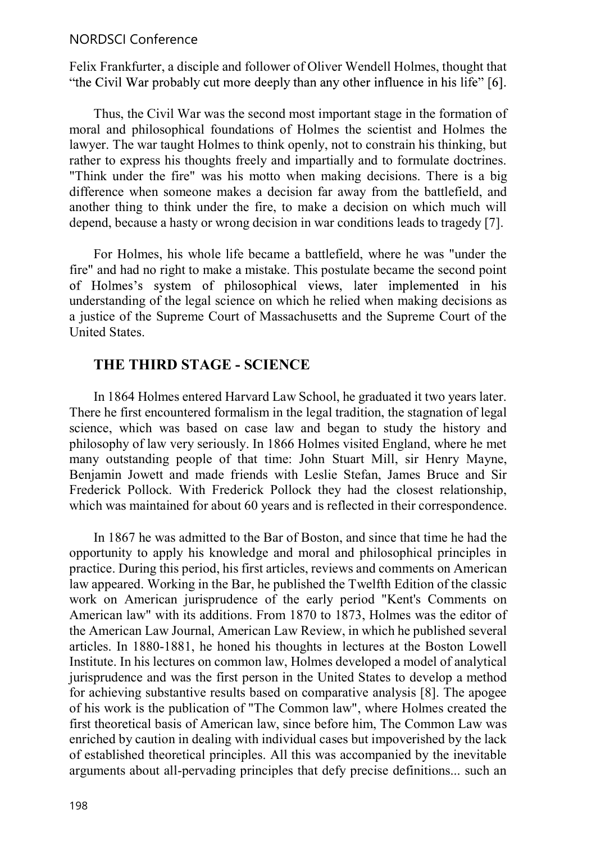#### NORDSCI Conference

Felix Frankfurter, a disciple and follower of Oliver Wendell Holmes, thought that "the Civil War probably cut more deeply than any other influence in his life" [6].

Thus, the Civil War was the second most important stage in the formation of moral and philosophical foundations of Holmes the scientist and Holmes the lawyer. The war taught Holmes to think openly, not to constrain his thinking, but rather to express his thoughts freely and impartially and to formulate doctrines. "Think under the fire" was his motto when making decisions. There is a big difference when someone makes a decision far away from the battlefield, and another thing to think under the fire, to make a decision on which much will depend, because a hasty or wrong decision in war conditions leads to tragedy [7].

For Holmes, his whole life became a battlefield, where he was "under the fire" and had no right to make a mistake. This postulate became the second point of Holmes's system of philosophical views, later implemented in his understanding of the legal science on which he relied when making decisions as a justice of the Supreme Court of Massachusetts and the Supreme Court of the United States.

#### THE THIRD STAGE - SCIENCE

In 1864 Holmes entered Harvard Law School, he graduated it two years later. There he first encountered formalism in the legal tradition, the stagnation of legal science, which was based on case law and began to study the history and philosophy of law very seriously. In 1866 Holmes visited England, where he met many outstanding people of that time: John Stuart Mill, sir Henry Mayne, Benjamin Jowett and made friends with Leslie Stefan, James Bruce and Sir Frederick Pollock. With Frederick Pollock they had the closest relationship, which was maintained for about 60 years and is reflected in their correspondence.

In 1867 he was admitted to the Bar of Boston, and since that time he had the opportunity to apply his knowledge and moral and philosophical principles in practice. During this period, his first articles, reviews and comments on American law appeared. Working in the Bar, he published the Twelfth Edition of the classic work on American jurisprudence of the early period "Kent's Comments on American law" with its additions. From 1870 to 1873, Holmes was the editor of the American Law Journal, American Law Review, in which he published several articles. In 1880-1881, he honed his thoughts in lectures at the Boston Lowell Institute. In his lectures on common law, Holmes developed a model of analytical jurisprudence and was the first person in the United States to develop a method for achieving substantive results based on comparative analysis [8]. The apogee of his work is the publication of "The Common law", where Holmes created the first theoretical basis of American law, since before him, The Common Law was enriched by caution in dealing with individual cases but impoverished by the lack of established theoretical principles. All this was accompanied by the inevitable arguments about all-pervading principles that defy precise definitions... such an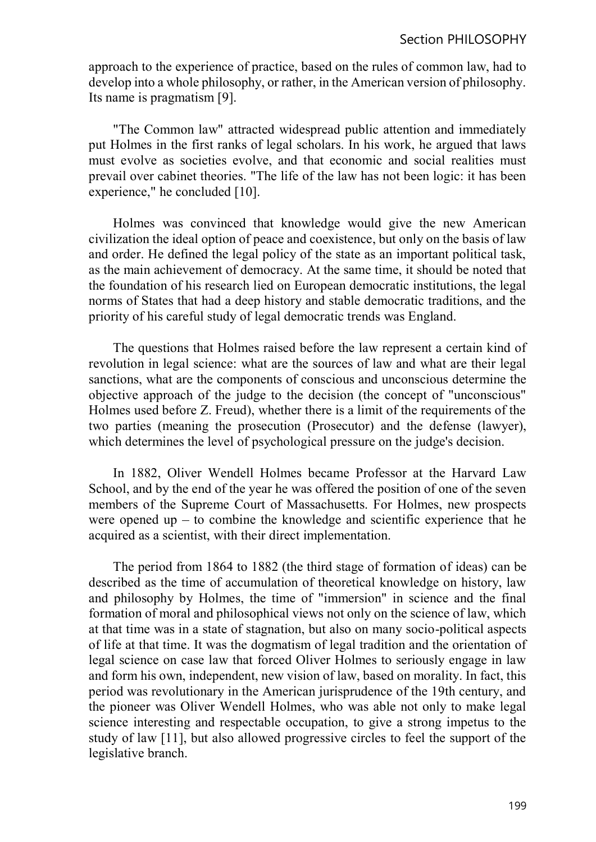approach to the experience of practice, based on the rules of common law, had to develop into a whole philosophy, or rather, in the American version of philosophy. Its name is pragmatism [9].

"The Common law" attracted widespread public attention and immediately put Holmes in the first ranks of legal scholars. In his work, he argued that laws must evolve as societies evolve, and that economic and social realities must prevail over cabinet theories. "The life of the law has not been logic: it has been experience," he concluded [10].

Holmes was convinced that knowledge would give the new American civilization the ideal option of peace and coexistence, but only on the basis of law and order. He defined the legal policy of the state as an important political task, as the main achievement of democracy. At the same time, it should be noted that the foundation of his research lied on European democratic institutions, the legal norms of States that had a deep history and stable democratic traditions, and the priority of his careful study of legal democratic trends was England.

The questions that Holmes raised before the law represent a certain kind of revolution in legal science: what are the sources of law and what are their legal sanctions, what are the components of conscious and unconscious determine the objective approach of the judge to the decision (the concept of "unconscious" Holmes used before Z. Freud), whether there is a limit of the requirements of the two parties (meaning the prosecution (Prosecutor) and the defense (lawyer), which determines the level of psychological pressure on the judge's decision.

In 1882, Oliver Wendell Holmes became Professor at the Harvard Law School, and by the end of the year he was offered the position of one of the seven members of the Supreme Court of Massachusetts. For Holmes, new prospects were opened up  $-$  to combine the knowledge and scientific experience that he acquired as a scientist, with their direct implementation.

The period from 1864 to 1882 (the third stage of formation of ideas) can be described as the time of accumulation of theoretical knowledge on history, law and philosophy by Holmes, the time of "immersion" in science and the final formation of moral and philosophical views not only on the science of law, which at that time was in a state of stagnation, but also on many socio-political aspects of life at that time. It was the dogmatism of legal tradition and the orientation of legal science on case law that forced Oliver Holmes to seriously engage in law and form his own, independent, new vision of law, based on morality. In fact, this period was revolutionary in the American jurisprudence of the 19th century, and the pioneer was Oliver Wendell Holmes, who was able not only to make legal science interesting and respectable occupation, to give a strong impetus to the study of law [11], but also allowed progressive circles to feel the support of the legislative branch.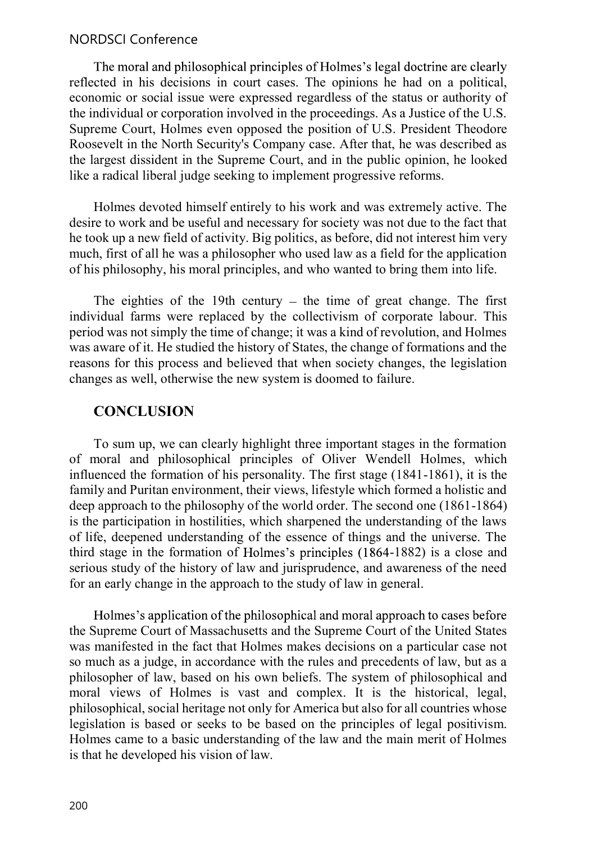#### NORDSCI Conference

The moral and philosophical principles of Holmes's legal doctrine are clearly reflected in his decisions in court cases. The opinions he had on a political, economic or social issue were expressed regardless of the status or authority of the individual or corporation involved in the proceedings. As a Justice of the U.S. Supreme Court, Holmes even opposed the position of U.S. President Theodore Roosevelt in the North Security's Company case. After that, he was described as the largest dissident in the Supreme Court, and in the public opinion, he looked like a radical liberal judge seeking to implement progressive reforms.

Holmes devoted himself entirely to his work and was extremely active. The desire to work and be useful and necessary for society was not due to the fact that he took up a new field of activity. Big politics, as before, did not interest him very much, first of all he was a philosopher who used law as a field for the application of his philosophy, his moral principles, and who wanted to bring them into life.

The eighties of the 19th century  $-$  the time of great change. The first individual farms were replaced by the collectivism of corporate labour. This period was not simply the time of change; it was a kind of revolution, and Holmes was aware of it. He studied the history of States, the change of formations and the reasons for this process and believed that when society changes, the legislation changes as well, otherwise the new system is doomed to failure.

## **CONCLUSION**

To sum up, we can clearly highlight three important stages in the formation of moral and philosophical principles of Oliver Wendell Holmes, which influenced the formation of his personality. The first stage (1841-1861), it is the family and Puritan environment, their views, lifestyle which formed a holistic and deep approach to the philosophy of the world order. The second one (1861-1864) is the participation in hostilities, which sharpened the understanding of the laws of life, deepened understanding of the essence of things and the universe. The third stage in the formation of Holmes's principles  $(1864-1882)$  is a close and serious study of the history of law and jurisprudence, and awareness of the need for an early change in the approach to the study of law in general.

Holmes's application of the philosophical and moral approach to cases before the Supreme Court of Massachusetts and the Supreme Court of the United States was manifested in the fact that Holmes makes decisions on a particular case not so much as a judge, in accordance with the rules and precedents of law, but as a philosopher of law, based on his own beliefs. The system of philosophical and moral views of Holmes is vast and complex. It is the historical, legal, philosophical, social heritage not only for America but also for all countries whose legislation is based or seeks to be based on the principles of legal positivism. Holmes came to a basic understanding of the law and the main merit of Holmes is that he developed his vision of law.